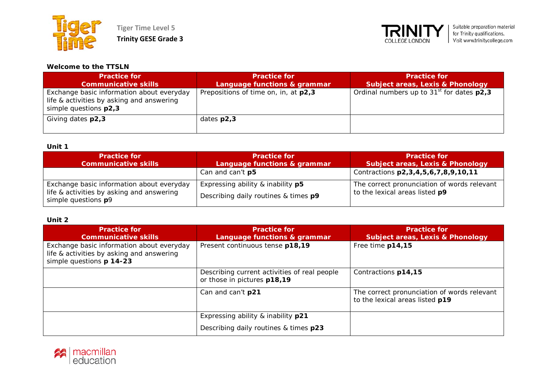



#### **Welcome to the TTSLN**

| <b>Practice for</b><br><b>Communicative skills</b>                                                              | <b>Practice for</b><br>Language functions & grammar | <b>Practice for</b><br><b>Subject areas, Lexis &amp; Phonology</b> |
|-----------------------------------------------------------------------------------------------------------------|-----------------------------------------------------|--------------------------------------------------------------------|
| Exchange basic information about everyday<br>life & activities by asking and answering<br>simple questions p2,3 | Prepositions of time on, in, at p2,3                | Ordinal numbers up to $31st$ for dates $p2.3$                      |
| Giving dates p2,3                                                                                               | dates $p2,3$                                        |                                                                    |

#### **Unit 1**

| <b>Practice for</b><br><b>Communicative skills</b>                                                            | <b>Practice for</b><br>Language functions & grammar                       | <b>Practice for</b><br>Subject areas, Lexis & Phonology                       |
|---------------------------------------------------------------------------------------------------------------|---------------------------------------------------------------------------|-------------------------------------------------------------------------------|
|                                                                                                               | Can and can't p5                                                          | Contractions p2, 3, 4, 5, 6, 7, 8, 9, 10, 11                                  |
| Exchange basic information about everyday<br>life & activities by asking and answering<br>simple questions p9 | Expressing ability & inability p5<br>Describing daily routines & times p9 | The correct pronunciation of words relevant<br>to the lexical areas listed p9 |

| <b>Practice for</b><br><b>Communicative skills</b>                                                                 | <b>Practice for</b><br><b>Language functions &amp; grammar</b>              | <b>Practice for</b><br><b>Subject areas, Lexis &amp; Phonology</b>             |
|--------------------------------------------------------------------------------------------------------------------|-----------------------------------------------------------------------------|--------------------------------------------------------------------------------|
| Exchange basic information about everyday<br>life & activities by asking and answering<br>simple questions p 14-23 | Present continuous tense p18,19                                             | Free time p14,15                                                               |
|                                                                                                                    | Describing current activities of real people<br>or those in pictures p18,19 | Contractions p14,15                                                            |
|                                                                                                                    | Can and can't p21                                                           | The correct pronunciation of words relevant<br>to the lexical areas listed p19 |
|                                                                                                                    | Expressing ability & inability p21                                          |                                                                                |
|                                                                                                                    | Describing daily routines & times p23                                       |                                                                                |

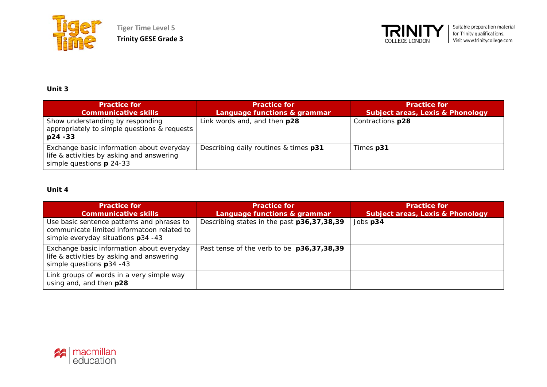

**Tiger Time Level 5 Trinity GESE Grade 3**



## **Unit 3**

| <b>Practice for</b><br><b>Communicative skills</b>                                                                   | <b>Practice for</b><br>Language functions & grammar | <b>Practice for</b><br><b>Subject areas, Lexis &amp; Phonology</b> |
|----------------------------------------------------------------------------------------------------------------------|-----------------------------------------------------|--------------------------------------------------------------------|
| Show understanding by responding<br>appropriately to simple questions & requests<br>$p24 - 33$                       | Link words and, and then p28                        | Contractions p28                                                   |
| Exchange basic information about everyday<br>life & activities by asking and answering<br>simple questions $p$ 24-33 | Describing daily routines & times p31               | Times p31                                                          |

| <b>Practice for</b><br><b>Communicative skills</b>                                                                             | <b>Practice for</b><br>Language functions & grammar | <b>Practice for</b><br><b>Subject areas, Lexis &amp; Phonology</b> |
|--------------------------------------------------------------------------------------------------------------------------------|-----------------------------------------------------|--------------------------------------------------------------------|
| Use basic sentence patterns and phrases to<br>communicate limited informatoon related to<br>simple everyday situations p34 -43 | Describing states in the past p36,37,38,39          | Jobs p34                                                           |
| Exchange basic information about everyday<br>life & activities by asking and answering<br>simple questions $p34 - 43$          | Past tense of the verb to be p36,37,38,39           |                                                                    |
| Link groups of words in a very simple way<br>using and, and then p28                                                           |                                                     |                                                                    |

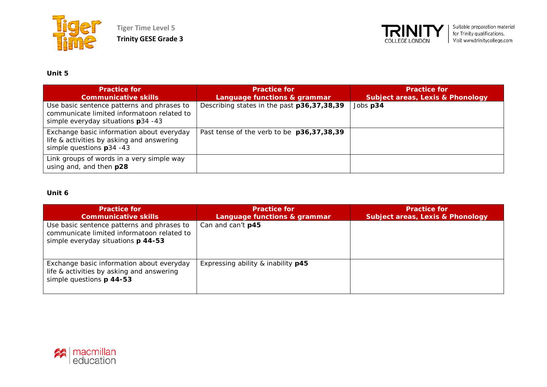

**Tiger Time Level 5 Trinity GESE Grade 3**



# **Unit 5**

| <b>Practice for</b><br><b>Communicative skills</b>                                                                             | <b>Practice for</b><br>Language functions & grammar | <b>Practice for</b><br><b>Subject areas, Lexis &amp; Phonology</b> |
|--------------------------------------------------------------------------------------------------------------------------------|-----------------------------------------------------|--------------------------------------------------------------------|
| Use basic sentence patterns and phrases to<br>communicate limited informatoon related to<br>simple everyday situations p34 -43 | Describing states in the past p36,37,38,39          | Jobs p34                                                           |
| Exchange basic information about everyday<br>life & activities by asking and answering<br>simple questions $p34 - 43$          | Past tense of the verb to be p36,37,38,39           |                                                                    |
| Link groups of words in a very simple way<br>using and, and then p28                                                           |                                                     |                                                                    |

| <b>Practice for</b><br><b>Communicative skills</b>                                                                             | <b>Practice for</b><br>Language functions & grammar | <b>Practice for.</b><br><b>Subject areas, Lexis &amp; Phonology</b> |
|--------------------------------------------------------------------------------------------------------------------------------|-----------------------------------------------------|---------------------------------------------------------------------|
| Use basic sentence patterns and phrases to<br>communicate limited informatoon related to<br>simple everyday situations p 44-53 | Can and can't p45                                   |                                                                     |
| Exchange basic information about everyday<br>life & activities by asking and answering<br>simple questions p 44-53             | Expressing ability & inability p45                  |                                                                     |